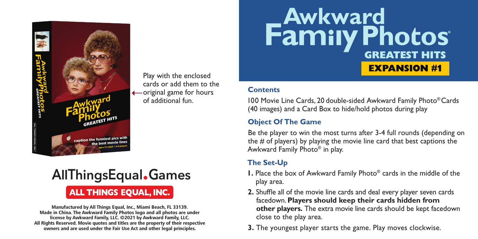

Play with the enclosed cards or add them to the original game for hours of additional fun.

# **AllThingsEqual.Games ALL THINGS EQUAL, INC.**

**Manufactured by All Things Equal, Inc., Miami Beach, FL 33139. Made in China. The Awkward Family Photos logo and all photos are under license by Awkward Family, LLC. ©2021 by Awkward Family, LLC. All Rights Reserved. Movie quotes and titles are the property of their respective owners and are used under the Fair Use Act and other legal principles.**

# **Family Photos EXPANSION #1**

#### **Contents**

100 Movie Line Cards, 20 double-sided Awkward Family Photo® Cards (40 images) and a Card Box to hide/hold photos during play

## **Object Of The Game**

Be the player to win the most turns after 3-4 full rounds (depending on the # of players) by playing the movie line card that best captions the Awkward Family Photo® in play.

# **The Set-Up**

- **1.** Place the box of Awkward Family Photo® cards in the middle of the play area.
- **2.** Shuffle all of the movie line cards and deal every player seven cards facedown. **Players should keep their cards hidden from other players.** The extra movie line cards should be kept facedown close to the play area.
- **3.** The youngest player starts the game. Play moves clockwise.